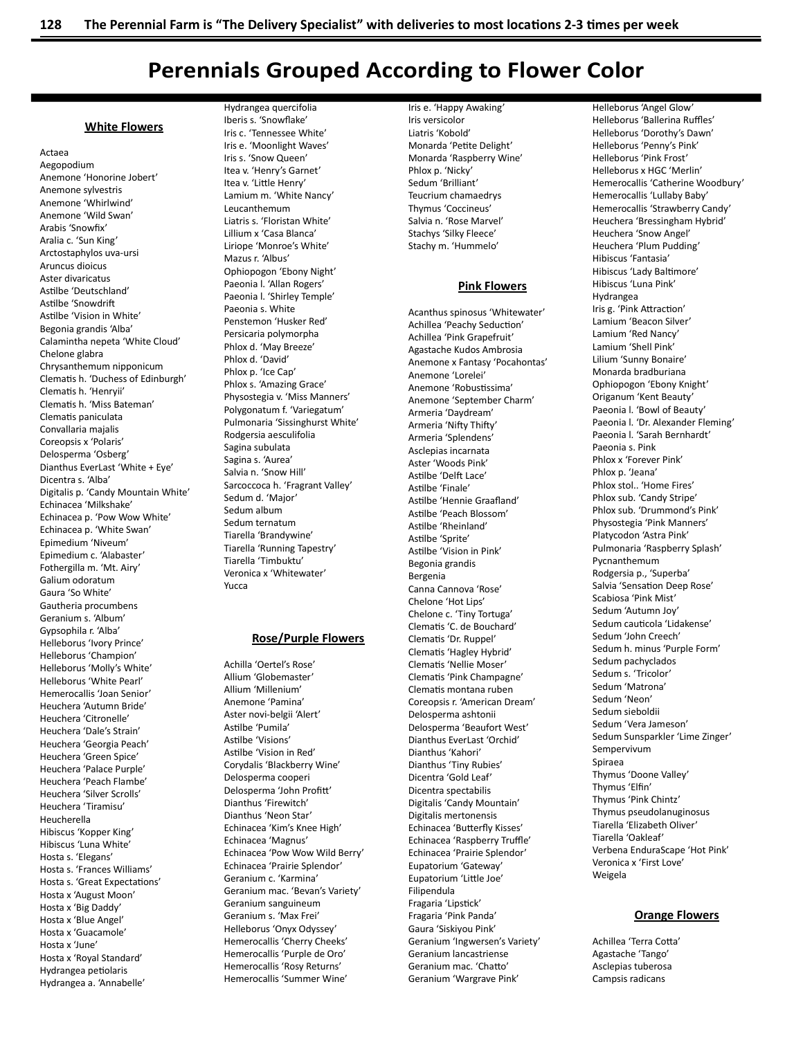# **Perennials Grouped According to Flower Color**

### **White Flowers**

Actaea Aegopodium Anemone 'Honorine Jobert' Anemone sylvestris Anemone 'Whirlwind' Anemone 'Wild Swan' Arabis 'Snowfix' Aralia c. 'Sun King' Arctostaphylos uva-ursi Aruncus dioicus Aster divaricatus Astilbe 'Deutschland' Astilhe 'Snowdrift Astilbe 'Vision in White' Begonia grandis 'Alba' Calamintha nepeta 'White Cloud' Chelone glabra Chrysanthemum nipponicum Clematis h. 'Duchess of Edinburgh' Clematis h. 'Henryii' Clematis h. 'Miss Bateman' Clematis paniculata Convallaria majalis Coreopsis x 'Polaris' Delosperma 'Osberg' Dianthus EverLast 'White + Eye' Dicentra s. 'Alba' Digitalis p. 'Candy Mountain White' Echinacea 'Milkshake' Echinacea p. 'Pow Wow White' Echinacea p. 'White Swan' Epimedium 'Niveum' Epimedium c. 'Alabaster' Fothergilla m. 'Mt. Airy' Galium odoratum Gaura 'So White' Gautheria procumbens Geranium s. 'Album' Gypsophila r. 'Alba' Helleborus 'Ivory Prince' Helleborus 'Champion' Helleborus 'Molly's White' Helleborus 'White Pearl' Hemerocallis 'Joan Senior' Heuchera 'Autumn Bride' Heuchera 'Citronelle' Heuchera 'Dale's Strain' Heuchera 'Georgia Peach' Heuchera 'Green Spice' Heuchera 'Palace Purple' Heuchera 'Peach Flambe' Heuchera 'Silver Scrolls' Heuchera 'Tiramisu' Heucherella Hibiscus 'Kopper King' Hibiscus 'Luna White' Hosta s. 'Elegans' Hosta s. 'Frances Williams' Hosta s. 'Great Expectations' Hosta x 'August Moon' Hosta x 'Big Daddy' Hosta x 'Blue Angel' Hosta x 'Guacamole' Hosta x 'June' Hosta x 'Royal Standard' Hydrangea petiolaris Hydrangea a. 'Annabelle'

Hydrangea quercifolia Iberis s. 'Snowflake' Iris c. 'Tennessee White' Iris e. 'Moonlight Waves' Iris s. 'Snow Queen' Itea v. 'Henry's Garnet' Itea v. 'Little Henry' Lamium m. 'White Nancy' Leucanthemum Liatris s. 'Floristan White' Lillium x 'Casa Blanca' Liriope 'Monroe's White' Mazus r. 'Albus' Ophiopogon 'Ebony Night' Paeonia I. 'Allan Rogers' Paeonia I. 'Shirley Temple' Paeonia s. White Penstemon 'Husker Red' Persicaria polymorpha Phlox d. 'May Breeze' Phlox d. 'David' Phlox p. 'Ice Cap' Phlox s. 'Amazing Grace' Physostegia v. 'Miss Manners' Polygonatum f. 'Variegatum' Pulmonaria 'Sissinghurst White' Rodgersia aesculifolia Sagina subulata Sagina s. 'Aurea' Salvia n. 'Snow Hill' Sarcoccoca h. 'Fragrant Valley' Sedum d. 'Major' Sedum album Sedum ternatum Tiarella 'Brandywine' Tiarella 'Running Tapestry' Tiarella 'Timbuktu' Veronica x 'Whitewater' Yucca

### **Rose/Purple Flowers**

Achilla 'Oertel's Rose' Allium 'Globemaster' Allium 'Millenium' Anemone 'Pamina' Aster novi-belgii 'Alert' Astilbe 'Pumila' Astilhe 'Visions' Astilbe 'Vision in Red' Corydalis 'Blackberry Wine' Delosperma cooperi Delosperma 'John Profitt' Dianthus 'Firewitch' Dianthus 'Neon Star' Echinacea 'Kim's Knee High' Echinacea 'Magnus' Echinacea 'Pow Wow Wild Berry' Echinacea 'Prairie Splendor' Geranium c. 'Karmina' Geranium mac. 'Bevan's Variety' Geranium sanguineum Geranium s. 'Max Frei' Helleborus 'Onyx Odyssey' Hemerocallis 'Cherry Cheeks' Hemerocallis 'Purple de Oro' Hemerocallis 'Rosy Returns' Hemerocallis 'Summer Wine'

Iris e. 'Happy Awaking' Iris versicolor Liatris 'Kobold' Monarda 'Petite Delight' Monarda 'Raspberry Wine' Phlox p. 'Nicky' Sedum 'Brilliant' Teucrium chamaedrys Thymus 'Coccineus' Salvia n. 'Rose Marvel' Stachys 'Silky Fleece' Stachy m. 'Hummelo'

### **Pink Flowers**

Acanthus spinosus 'Whitewater' Achillea 'Peachy Seduction' Achillea 'Pink Grapefruit' Agastache Kudos Ambrosia Anemone x Fantasy 'Pocahontas' Anemone 'Lorelei' Anemone 'Robustissima' Anemone 'September Charm' Armeria 'Daydream' Armeria 'Nifty Thifty' Armeria 'Splendens' Asclepias incarnata Aster 'Woods Pink' Astilbe 'Delft Lace' Astilbe 'Finale' Astilbe 'Hennie Graafland' Astilbe 'Peach Blossom' Astilbe 'Rheinland' Astilbe 'Sprite' Astilbe 'Vision in Pink' Begonia grandis Bergenia Canna Cannova 'Rose' Chelone 'Hot Lips' Chelone c. 'Tiny Tortuga' Clematis 'C. de Bouchard' Clematis 'Dr. Ruppel' Clematis 'Hagley Hybrid' Clematis 'Nellie Moser' Clematis 'Pink Champagne' Clematis montana ruben Coreopsis r. 'American Dream' Delosperma ashtonii Delosperma 'Beaufort West' Dianthus EverLast 'Orchid' Dianthus 'Kahori' Dianthus 'Tiny Rubies' Dicentra 'Gold Leaf' Dicentra spectabilis Digitalis 'Candy Mountain' Digitalis mertonensis Echinacea 'Butterfly Kisses' Echinacea 'Raspberry Truffle' Echinacea 'Prairie Splendor' Eupatorium 'Gateway' Eupatorium 'Little Joe' Filipendula Fragaria 'Lipstick' Fragaria 'Pink Panda' Gaura 'Siskiyou Pink' Geranium 'Ingwersen's Variety' Geranium lancastriense Geranium mac. 'Chatto' Geranium 'Wargrave Pink'

Helleborus 'Angel Glow' Helleborus 'Ballerina Ruffles' Helleborus 'Dorothy's Dawn' Helleborus 'Penny's Pink' Helleborus 'Pink Frost' Helleborus x HGC 'Merlin' Hemerocallis 'Catherine Woodbury' Hemerocallis 'Lullaby Baby' Hemerocallis 'Strawberry Candy' Heuchera 'Bressingham Hybrid' Heuchera 'Snow Angel' Heuchera 'Plum Pudding' Hibiscus 'Fantasia' Hibiscus 'Lady Baltimore' Hibiscus 'Luna Pink' Hydrangea Iris g. 'Pink Attraction' Lamium 'Beacon Silver' Lamium 'Red Nancy' Lamium 'Shell Pink' Lilium 'Sunny Bonaire' Monarda bradburiana Ophiopogon 'Ebony Knight' Origanum 'Kent Beauty' Paeonia I. 'Bowl of Beauty' Paeonia I. 'Dr. Alexander Fleming' Paeonia I. 'Sarah Bernhardt' Paeonia s. Pink Phlox x 'Forever Pink' Phlox p. 'Jeana' Phlox stol.. 'Home Fires' Phlox sub. 'Candy Stripe' Phlox sub. 'Drummond's Pink' Physostegia 'Pink Manners' Platycodon 'Astra Pink' Pulmonaria 'Raspberry Splash' Pycnanthemum Rodgersia p., 'Superba' Salvia 'Sensation Deep Rose' Scabiosa 'Pink Mist' Sedum 'Autumn Joy' Sedum cauticola 'Lidakense' Sedum 'John Creech' Sedum h. minus 'Purple Form' Sedum pachyclados Sedum s. 'Tricolor' Sedum 'Matrona' Sedum 'Neon' Sedum sieboldii Sedum 'Vera Jameson' Sedum Sunsparkler 'Lime Zinger' Sempervivum Spiraea Thymus 'Doone Valley' Thymus 'Elfin' Thymus 'Pink Chintz' Thymus pseudolanuginosus Tiarella 'Elizabeth Oliver' Tiarella 'Oakleaf' Verbena EnduraScape 'Hot Pink' Veronica x 'First Love' Weigela

### **Orange Flowers**

Achillea 'Terra Cotta' Agastache 'Tango' Asclepias tuberosa Campsis radicans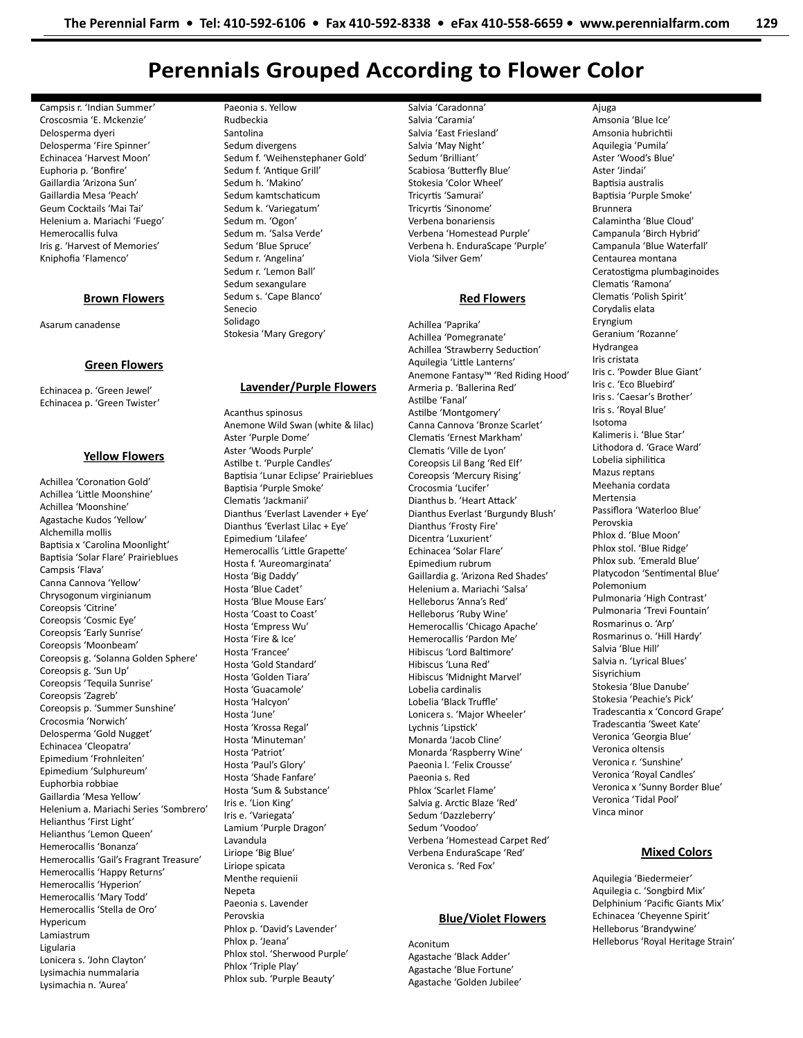# Perennials Grouped According to Flower Color

Campsis r. 'Indian Summer' Croscosmia 'E. Mckenzie' Delosperma dyeri Delosperma 'Fire Spinner' Echinacea 'Harvest Moon' Euphoria p. 'Bonfire' Gaillardia 'Arizona Sun' Gaillardia Mesa 'Peach' Geum Cocktails 'Mai Tai' Helenium a. Mariachi 'Fuego' Hemerocallis fulva Iris g. 'Harvest of Memories' Kniphofia 'Flamenco'

### Brown Flowers

Asarum canadense

### Green Flowers

Echinacea p. 'Green Jewel' Echinacea p. 'Green Twister'

### Yellow Flowers

Achillea 'Coronation Gold' Achillea 'Little Moonshine' Achillea 'Moonshine' Agastache Kudos 'Yellow' Alchemilla mollis Baptisia x 'Carolina Moonlight' Baptisia 'Solar Flare' Prairieblues Campsis 'Flava' Canna Cannova 'Yellow' Chrysogonum virginianum Coreopsis 'Citrine' Coreopsis 'Cosmic Eye' Coreopsis 'Early Sunrise' Coreopsis 'Moonbeam' Coreopsis g. 'Solanna Golden Sphere' Coreopsis g. 'Sun Up' Coreopsis 'Tequila Sunrise' Coreopsis 'Zagreb' Coreopsis p. 'Summer Sunshine' Crocosmia 'Norwich' Delosperma 'Gold Nugget' Echinacea 'Cleopatra' Epimedium 'Frohnleiten' Epimedium 'Sulphureum' Euphorbia robbiae Gaillardia 'Mesa Yellow' Helenium a. Mariachi Series 'Sombrero' Helianthus 'First Light' Helianthus 'Lemon Queen' Hemerocallis 'Bonanza' Hemerocallis 'Gail's Fragrant Treasure' Hemerocallis 'Happy Returns' Hemerocallis 'Hyperion' Hemerocallis 'Mary Todd' Hemerocallis 'Stella de Oro' Hypericum Lamiastrum Ligularia Lonicera s. 'John Clayton' Lysimachia nummalaria Lysimachia n. 'Aurea'

Paeonia s. Yellow Rudbeckia Santolina Sedum divergens Sedum f. 'Weihenstephaner Gold' Sedum f. 'Antique Grill' Sedum h. 'Makino' Sedum kamtschaticum Sedum k. 'Variegatum' Sedum m. 'Ogon' Sedum m. 'Salsa Verde' Sedum 'Blue Spruce' Sedum r. 'Angelina' Sedum r. 'Lemon Ball' Sedum sexangulare Sedum s. 'Cape Blanco' Senecio Solidago Stokesia 'Mary Gregory'

Lavender/Purple Flowers

Anemone Wild Swan (white & lilac)

Dianthus 'Everlast Lavender + Eye' Dianthus 'Everlast Lilac + Eye' Epimedium 'Lilafee' Hemerocallis 'Little Grapette' Hosta f. 'Aureomarginata' Hosta 'Big Daddy' Hosta 'Blue Cadet' Hosta 'Blue Mouse Ears' Hosta 'Coast to Coast' Hosta 'Empress Wu' Hosta 'Fire & Ice' Hosta 'Francee' Hosta 'Gold Standard' Hosta 'Golden Tiara' Hosta 'Guacamole' Hosta 'Halcyon' Hosta 'June' Hosta 'Krossa Regal' Hosta 'Minuteman' Hosta 'Patriot' Hosta 'Paul's Glory' Hosta 'Shade Fanfare' Hosta 'Sum & Substance' Iris e. 'Lion King' Iris e. 'Variegata' Lamium 'Purple Dragon'

Acanthus spinosus

Aster 'Purple Dome' Aster 'Woods Purple' Astilbe t. 'Purple Candles' Baptisia 'Lunar Eclipse' Prairieblues

Baptisia 'Purple Smoke' Clematis 'Jackmanii'

Lavandula Liriope 'Big Blue' Liriope spicata Menthe requienii **Nepeta** 

Paeonia s. Lavender Perovskia

Phlox p. 'Jeana'

Phlox 'Triple Play' Phlox sub. 'Purple Beauty'

Phlox p. 'David's Lavender'

Phlox stol. 'Sherwood Purple'

Salvia 'Caradonna' Salvia 'Caramia' Salvia 'East Friesland' Salvia 'May Night' Sedum 'Brilliant' Scabiosa 'Butterfly Blue' Stokesia 'Color Wheel' Tricyrtis 'Samurai' Tricyrtis 'Sinonome' Verbena bonariensis Verbena 'Homestead Purple' Verbena h. EnduraScape 'Purple' Viola 'Silver Gem'

### Red Flowers

Achillea 'Paprika' Achillea 'Pomegranate' Achillea 'Strawberry Seduction' Aquilegia 'Little Lanterns' Anemone Fantasy™ 'Red Riding Hood' Armeria p. 'Ballerina Red' Astilbe 'Fanal' Astilbe 'Montgomery' Canna Cannova 'Bronze Scarlet' Clematis 'Ernest Markham' Clematis 'Ville de Lyon' Coreopsis Lil Bang 'Red Elf' Coreopsis 'Mercury Rising' Crocosmia 'Lucifer' Dianthus b. 'Heart Attack' Dianthus Everlast 'Burgundy Blush' Dianthus 'Frosty Fire' Dicentra 'Luxurient' Echinacea 'Solar Flare' Epimedium rubrum Gaillardia g. 'Arizona Red Shades' Helenium a. Mariachi 'Salsa' Helleborus 'Anna's Red' Helleborus 'Ruby Wine' Hemerocallis 'Chicago Apache' Hemerocallis 'Pardon Me' Hibiscus 'Lord Baltimore' Hibiscus 'Luna Red' Hibiscus 'Midnight Marvel' Lobelia cardinalis Lobelia 'Black Truffle' Lonicera s. 'Major Wheeler' Lychnis 'Lipstick' Monarda 'Jacob Cline' Monarda 'Raspberry Wine' Paeonia l. 'Felix Crousse' Paeonia s. Red Phlox 'Scarlet Flame' Salvia g. Arctic Blaze 'Red' Sedum 'Dazzleberry' Sedum 'Voodoo' Verbena 'Homestead Carpet Red' Verbena EnduraScape 'Red' Veronica s. 'Red Fox'

### Blue/Violet Flowers

Aconitum Agastache 'Black Adder' Agastache 'Blue Fortune' Agastache 'Golden Jubilee'

Ajuga Amsonia 'Blue Ice' Amsonia hubrichtii Aquilegia 'Pumila' Aster 'Wood's Blue' Aster 'Jindai' Baptisia australis Baptisia 'Purple Smoke' Brunnera Calamintha 'Blue Cloud' Campanula 'Birch Hybrid' Campanula 'Blue Waterfall' Centaurea montana Ceratostigma plumbaginoides Clematis 'Ramona' Clematis 'Polish Spirit' Corydalis elata Eryngium Geranium 'Rozanne' Hydrangea Iris cristata Iris c. 'Powder Blue Giant' Iris c. 'Eco Bluebird' Iris s. 'Caesar's Brother' Iris s. 'Royal Blue' Isotoma Kalimeris i. 'Blue Star' Lithodora d. 'Grace Ward' Lobelia siphilitica Mazus reptans Meehania cordata Mertensia Passiflora 'Waterloo Blue' Perovskia Phlox d. 'Blue Moon' Phlox stol. 'Blue Ridge' Phlox sub. 'Emerald Blue' Platycodon 'Sentimental Blue' Polemonium Pulmonaria 'High Contrast' Pulmonaria 'Trevi Fountain' Rosmarinus o. 'Arp' Rosmarinus o. 'Hill Hardy' Salvia 'Blue Hill' Salvia n. 'Lyrical Blues' Sisyrichium Stokesia 'Blue Danube' Stokesia 'Peachie's Pick' Tradescantia x 'Concord Grape' Tradescantia 'Sweet Kate' Veronica 'Georgia Blue' Veronica oltensis Veronica r. 'Sunshine' Veronica 'Royal Candles' Veronica x 'Sunny Border Blue' Veronica 'Tidal Pool' Vinca minor

### Mixed Colors

Aquilegia 'Biedermeier' Aquilegia c. 'Songbird Mix' Delphinium 'Pacific Giants Mix' Echinacea 'Cheyenne Spirit' Helleborus 'Brandywine' Helleborus 'Royal Heritage Strain'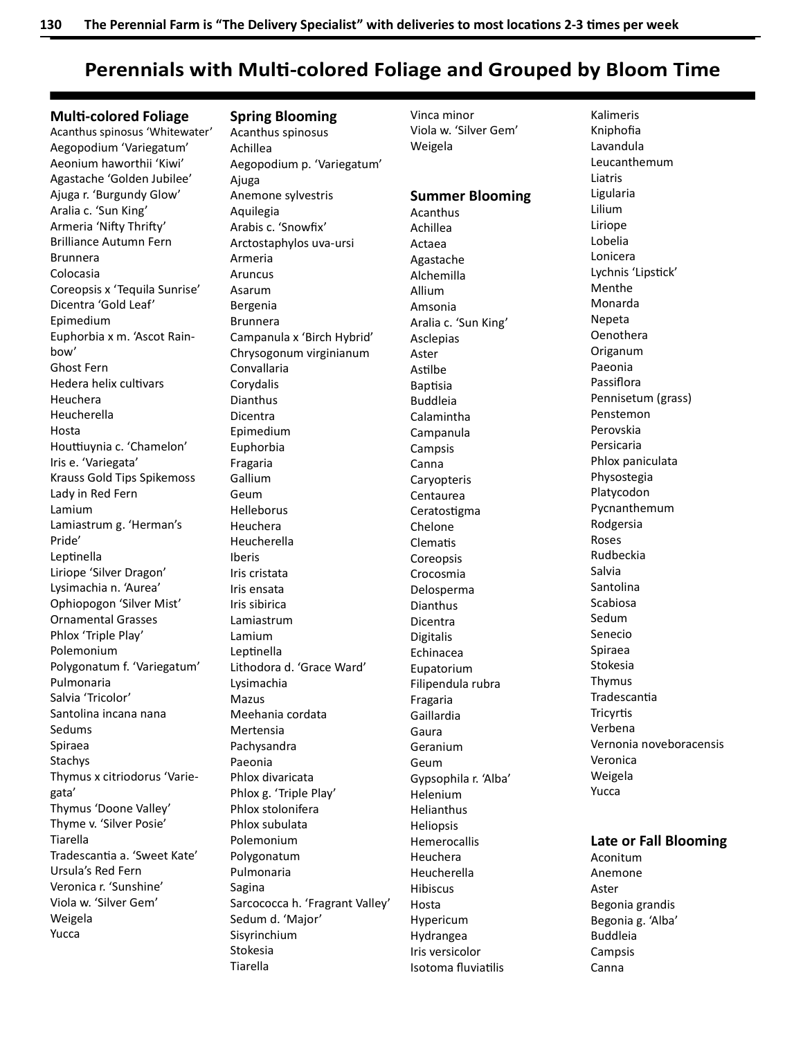# Perennials with Multi-colored Foliage and Grouped by Bloom Time

Vinca minor

Weigela

Viola w. 'Silver Gem'

### **Multi-colored Foliage**

Acanthus spinosus 'Whitewater' Aegopodium 'Variegatum' Aeonium haworthii 'Kiwi' Agastache 'Golden Jubilee' Ajuga r. 'Burgundy Glow' Aralia c. 'Sun King' Armeria 'Nifty Thrifty' Brilliance Autumn Fern Brunnera Colocasia Coreopsis x 'Tequila Sunrise' Dicentra 'Gold Leaf' Epimedium Euphorbia x m. 'Ascot Rainbow' Ghost Fern Hedera helix cultivars Heuchera Heucherella Hosta Houttiuynia c. 'Chamelon' Iris e. 'Variegata' Krauss Gold Tips Spikemoss Lady in Red Fern Lamium Lamiastrum g. 'Herman's Pride' Leptinella Liriope 'Silver Dragon' Lysimachia n. 'Aurea' Ophiopogon 'Silver Mist' Ornamental Grasses Phlox 'Triple Play' Polemonium Polygonatum f. 'Variegatum' Pulmonaria Salvia 'Tricolor' Santolina incana nana Sedums Spiraea Stachys Thymus x citriodorus 'Variegata' Thymus 'Doone Valley' Thyme v. 'Silver Posie' Tiarella Tradescantia a. 'Sweet Kate' Ursula's Red Fern Veronica r. 'Sunshine' Viola w. 'Silver Gem' Weigela Yucca

### Spring Blooming

Acanthus spinosus Achillea Aegopodium p. 'Variegatum' Ajuga Anemone sylvestris Aquilegia Arabis c. 'Snowfix' Arctostaphylos uva-ursi Armeria Aruncus Asarum Bergenia Brunnera Campanula x 'Birch Hybrid' Chrysogonum virginianum Convallaria Corydalis Dianthus Dicentra Epimedium Euphorbia Fragaria Gallium Geum Helleborus Heuchera Heucherella Iberis Iris cristata Iris ensata Iris sibirica Lamiastrum Lamium Leptinella Lithodora d. 'Grace Ward' Lysimachia Mazus Meehania cordata Mertensia Pachysandra Paeonia Phlox divaricata Phlox g. 'Triple Play' Phlox stolonifera Phlox subulata Polemonium Polygonatum Pulmonaria Sagina Sarcococca h. 'Fragrant Valley' Sedum d. 'Major' Sisyrinchium Stokesia Tiarella

Summer Blooming Acanthus Achillea Actaea Agastache Alchemilla Allium Amsonia Aralia c. 'Sun King' Asclepias Aster Astilbe **Baptisia** Buddleia Calamintha Campanula Campsis Canna Caryopteris Centaurea Ceratostigma Chelone **Clematis** Coreopsis Crocosmia Delosperma Dianthus Dicentra Digitalis Echinacea Eupatorium Filipendula rubra Fragaria Gaillardia Gaura Geranium Geum Gypsophila r. 'Alba' Helenium Helianthus Heliopsis Hemerocallis Heuchera Heucherella Hibiscus Hosta Hypericum Hydrangea Iris versicolor Isotoma fluviatilis

Kalimeris Kniphofia Lavandula Leucanthemum Liatris Ligularia Lilium Liriope Lobelia Lonicera Lychnis 'Lipstick' Menthe Monarda Nepeta Oenothera Origanum Paeonia Passiflora Pennisetum (grass) Penstemon Perovskia Persicaria Phlox paniculata Physostegia Platycodon Pycnanthemum Rodgersia Roses Rudbeckia Salvia Santolina Scabiosa Sedum Senecio Spiraea Stokesia Thymus **Tradescantia Tricyrtis** Verbena Vernonia noveboracensis Veronica Weigela Yucca

## Late or Fall Blooming

Aconitum Anemone Aster Begonia grandis Begonia g. 'Alba' Buddleia Campsis Canna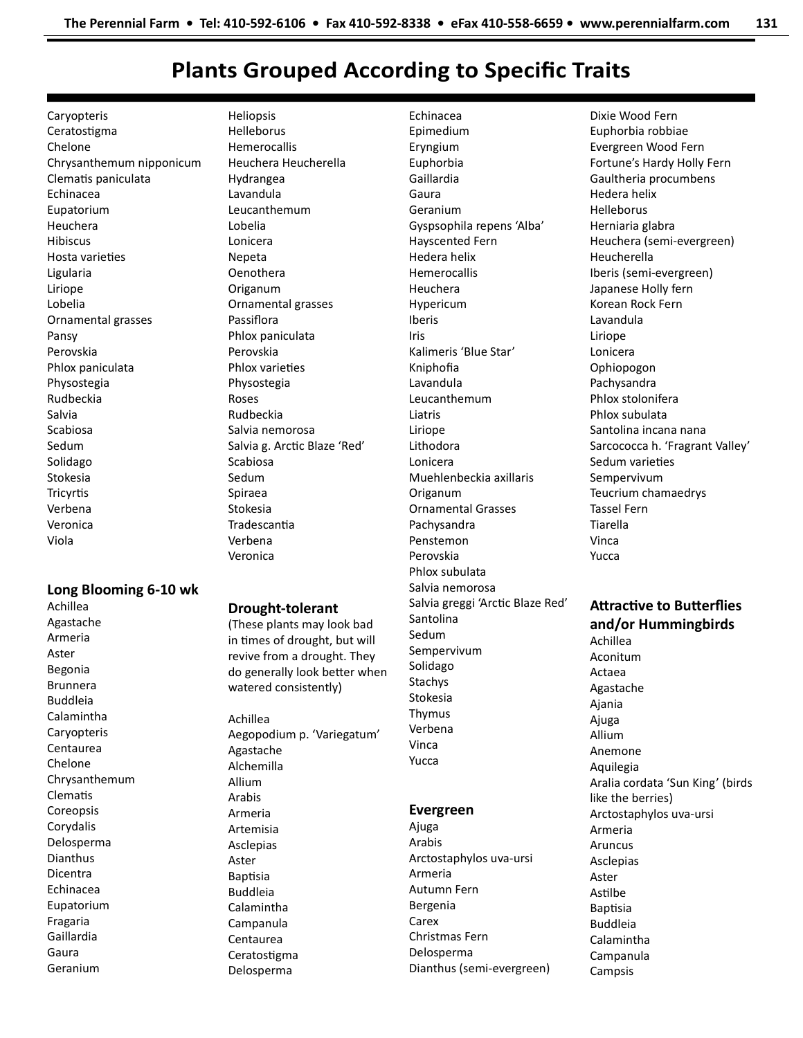# Plants Grouped According to Specific Traits

Caryopteris Ceratostigma Chelone Chrysanthemum nipponicum Clematis paniculata Echinacea Eupatorium Heuchera Hibiscus Hosta varieties Ligularia Liriope Lobelia Ornamental grasses Pansy Perovskia Phlox paniculata Physostegia Rudbeckia Salvia Scabiosa Sedum Solidago Stokesia **Tricyrtis** Verbena Veronica Viola

## Long Blooming 6-10 wk

Achillea Agastache Armeria Aster Begonia Brunnera Buddleia Calamintha Caryopteris Centaurea Chelone Chrysanthemum **Clematis** Coreopsis Corydalis Delosperma Dianthus Dicentra Echinacea Eupatorium Fragaria Gaillardia Gaura Geranium

Heliopsis Helleborus Hemerocallis Heuchera Heucherella Hydrangea Lavandula Leucanthemum Lobelia Lonicera Nepeta Oenothera Origanum Ornamental grasses Passiflora Phlox paniculata Perovskia Phlox varieties Physostegia Roses Rudbeckia Salvia nemorosa Salvia g. Arctic Blaze 'Red' Scabiosa Sedum Spiraea Stokesia **Tradescantia** Verbena

### Drought-tolerant

Veronica

(These plants may look bad in times of drought, but will revive from a drought. They do generally look better when watered consistently)

Achillea Aegopodium p. 'Variegatum' Agastache Alchemilla Allium Arabis Armeria Artemisia Asclepias Aster **Baptisia** Buddleia Calamintha Campanula Centaurea Ceratostigma

Delosperma

Echinacea Epimedium Eryngium Euphorbia Gaillardia Gaura Geranium Gyspsophila repens 'Alba' Hayscented Fern Hedera helix Hemerocallis Heuchera Hypericum Iberis Iris Kalimeris 'Blue Star' Kniphofia Lavandula Leucanthemum Liatris Liriope Lithodora Lonicera Muehlenbeckia axillaris Origanum Ornamental Grasses Pachysandra Penstemon Perovskia Phlox subulata Salvia nemorosa Salvia greggi 'Arctic Blaze Red' Santolina Sedum Sempervivum Solidago Stachys Stokesia Thymus Verbena Vinca Yucca

## Evergreen

Ajuga Arabis Arctostaphylos uva-ursi Armeria Autumn Fern Bergenia Carex Christmas Fern Delosperma Dianthus (semi-evergreen)

Dixie Wood Fern Euphorbia robbiae Evergreen Wood Fern Fortune's Hardy Holly Fern Gaultheria procumbens Hedera helix Helleborus Herniaria glabra Heuchera (semi-evergreen) Heucherella Iberis (semi-evergreen) Japanese Holly fern Korean Rock Fern Lavandula Liriope Lonicera Ophiopogon Pachysandra Phlox stolonifera Phlox subulata Santolina incana nana Sarcococca h. 'Fragrant Valley' Sedum varieties Sempervivum Teucrium chamaedrys Tassel Fern Tiarella Vinca Yucca

## **Attractive to Butterflies** and/or Hummingbirds Achillea

Aconitum Actaea Agastache Ajania Ajuga Allium Anemone Aquilegia Aralia cordata 'Sun King' (birds like the berries) Arctostaphylos uva-ursi Armeria Aruncus Asclepias Aster Astilbe **Baptisia** Buddleia Calamintha Campanula Campsis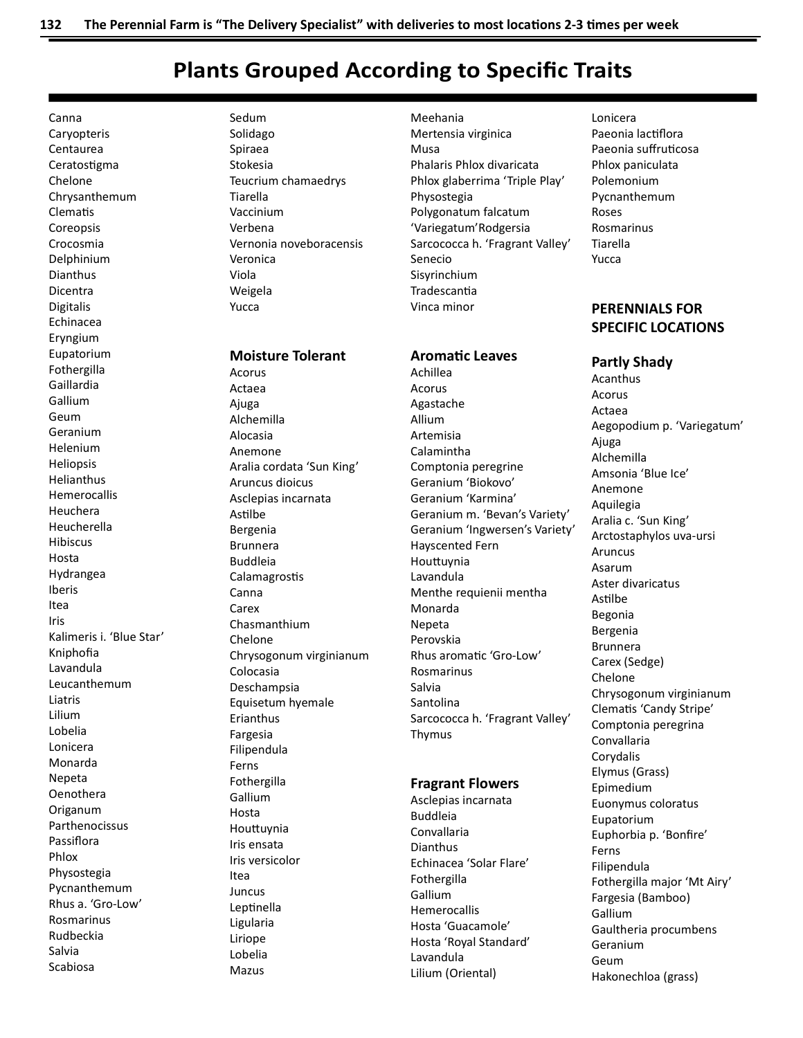# **Plants Grouped According to Specific Traits**

Canna Caryopteris Centaurea Ceratostigma Chelone Chrysanthemum Clematis Coreopsis Crocosmia Delphinium **Dianthus** Dicentra **Digitalis** Echinacea Eryngium Eupatorium Fothergilla Gaillardia Gallium Geum Geranium **Helenium Heliopsis** Helianthus Hemerocallis Heuchera Heucherella Hibiscus Hosta Hydrangea Iberis Itea Iris Kalimeris i. 'Blue Star' Kniphofia Lavandula Leucanthemum Liatris Lilium Lobelia Lonicera Monarda Nepeta Oenothera Origanum Parthenocissus Passiflora Phlox Physostegia Pycnanthemum Rhus a. 'Gro-Low' Rosmarinus Rudbeckia Salvia Scabiosa

Sedum Solidago Spiraea Stokesia Teucrium chamaedrys Tiarella Vaccinium Verbena Vernonia noveboracensis Veronica Viola Weigela Yucca

## **Moisture Tolerant**

Acorus Actaea Ajuga Alchemilla Alocasia Anemone Aralia cordata 'Sun King' Aruncus dioicus Asclepias incarnata Astilbe Bergenia **Brunnera Buddleia** Calamagrostis Canna Carex Chasmanthium Chelone Chrysogonum virginianum Colocasia Deschampsia Equisetum hyemale Erianthus Fargesia Filipendula Ferns Fothergilla Gallium Hosta Houttuynia Iris ensata Iris versicolor Itea Juncus Leptinella Ligularia Liriope Lobelia Mazus

Meehania Mertensia virginica Musa Phalaris Phlox divaricata Phlox glaberrima 'Triple Play' Physostegia Polygonatum falcatum 'Variegatum'Rodgersia Sarcococca h. 'Fragrant Valley' Senecio Sisyrinchium Tradescantia Vinca minor

## **Aromatic Leaves**

Achillea Acorus Agastache Allium Artemisia Calamintha Comptonia peregrine Geranium 'Biokovo' Geranium 'Karmina' Geranium m. 'Bevan's Variety' Geranium 'Ingwersen's Variety' Hayscented Fern Houttuynia Lavandula Menthe requienii mentha Monarda Nepeta Perovskia Rhus aromatic 'Gro-Low' Rosmarinus Salvia Santolina Sarcococca h. 'Fragrant Valley' Thymus

### **Fragrant Flowers**

Asclepias incarnata **Buddleia** Convallaria Dianthus Echinacea 'Solar Flare' Fothergilla Gallium Hemerocallis Hosta 'Guacamole' Hosta 'Royal Standard' Lavandula Lilium (Oriental)

Lonicera Paeonia lactiflora Paeonia suffruticosa Phlox paniculata Polemonium Pycnanthemum Roses Rosmarinus Tiarella Yucca

# **PERFNNIALS FOR SPECIFIC LOCATIONS**

## **Partly Shady**

Acanthus Acorus Actaea Aegopodium p. 'Variegatum' Ajuga Alchemilla Amsonia 'Blue Ice' Anemone Aquilegia Aralia c. 'Sun King' Arctostaphylos uva-ursi Aruncus Asarum Aster divaricatus Astilbe Begonia Bergenia **Brunnera** Carex (Sedge) Chelone Chrysogonum virginianum Clematis 'Candy Stripe' Comptonia peregrina Convallaria Corydalis Elymus (Grass) Epimedium Euonymus coloratus Eupatorium Euphorbia p. 'Bonfire' Ferns Filipendula Fothergilla major 'Mt Airy' Fargesia (Bamboo) Gallium Gaultheria procumbens Geranium Geum Hakonechloa (grass)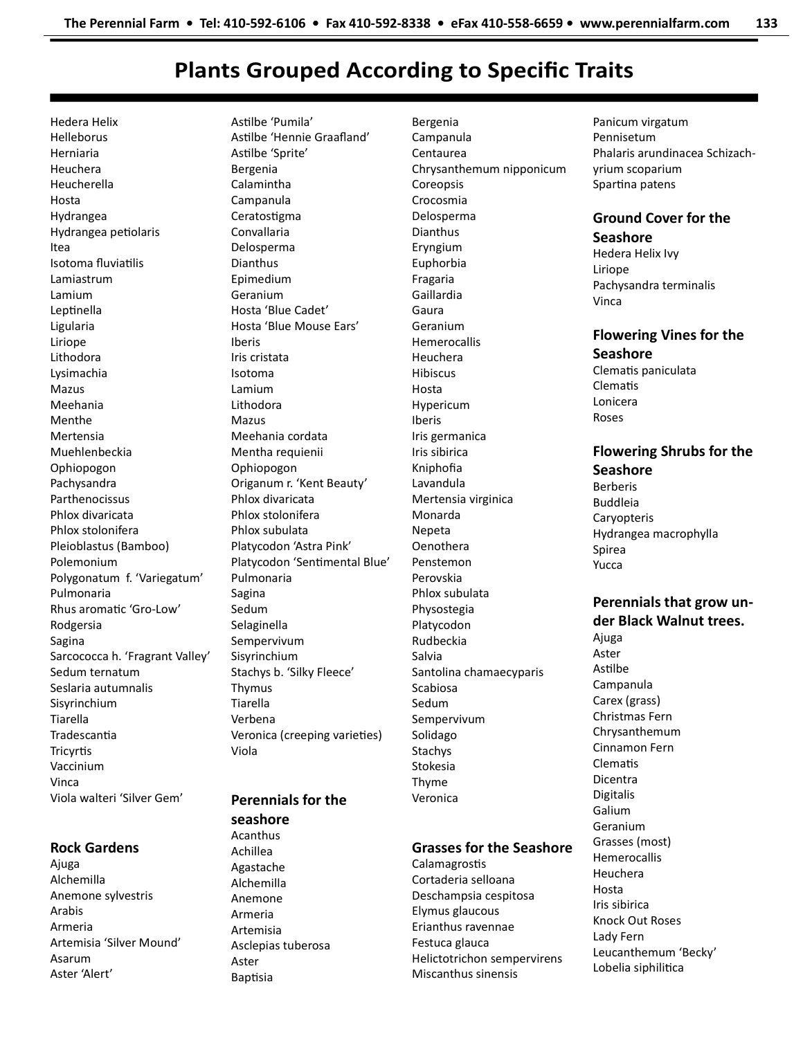# Plants Grouped According to Specific Traits

Hedera Helix Helleborus Herniaria Heuchera Heucherella Hosta Hydrangea Hydrangea petiolaris Itea Isotoma fluviatilis Lamiastrum Lamium Leptinella Ligularia Liriope Lithodora Lysimachia Mazus Meehania Menthe Mertensia Muehlenbeckia Ophiopogon Pachysandra Parthenocissus Phlox divaricata Phlox stolonifera Pleioblastus (Bamboo) Polemonium Polygonatum f. 'Variegatum' Pulmonaria Rhus aromatic 'Gro-Low' Rodgersia Sagina Sarcococca h. 'Fragrant Valley' Sedum ternatum Seslaria autumnalis Sisyrinchium Tiarella **Tradescantia Tricyrtis** Vaccinium Vinca Viola walteri 'Silver Gem'

## Rock Gardens

Ajuga Alchemilla Anemone sylvestris Arabis Armeria Artemisia 'Silver Mound' Asarum Aster 'Alert'

Astilbe 'Pumila' Astilbe 'Hennie Graafland' Astilbe 'Sprite' Bergenia Calamintha Campanula Ceratostigma Convallaria Delosperma Dianthus Epimedium Geranium Hosta 'Blue Cadet' Hosta 'Blue Mouse Ears' Iberis Iris cristata Isotoma Lamium Lithodora Mazus Meehania cordata Mentha requienii Ophiopogon Origanum r. 'Kent Beauty' Phlox divaricata Phlox stolonifera Phlox subulata Platycodon 'Astra Pink' Platycodon 'Sentimental Blue' Pulmonaria Sagina Sedum Selaginella Sempervivum Sisyrinchium Stachys b. 'Silky Fleece' Thymus Tiarella Verbena Veronica (creeping varieties) Viola

# Perennials for the seashore

Acanthus Achillea Agastache Alchemilla Anemone Armeria Artemisia Asclepias tuberosa Aster **Baptisia** 

Bergenia Campanula Centaurea Chrysanthemum nipponicum Coreopsis Crocosmia Delosperma Dianthus Eryngium Euphorbia Fragaria Gaillardia Gaura Geranium Hemerocallis Heuchera Hibiscus Hosta Hypericum Iberis Iris germanica Iris sibirica Kniphofia Lavandula Mertensia virginica Monarda Nepeta Oenothera Penstemon Perovskia Phlox subulata Physostegia Platycodon Rudbeckia Salvia Santolina chamaecyparis Scabiosa Sedum Sempervivum Solidago Stachys Stokesia Thyme Veronica

# Grasses for the Seashore

**Calamagrostis** Cortaderia selloana Deschampsia cespitosa Elymus glaucous Erianthus ravennae Festuca glauca Helictotrichon sempervirens Miscanthus sinensis

Panicum virgatum Pennisetum Phalaris arundinacea Schizachyrium scoparium Spartina patens

# Ground Cover for the Seashore

Hedera Helix Ivy Liriope Pachysandra terminalis Vinca

Flowering Vines for the **Seashore** Clematis paniculata **Clematis** Lonicera Roses

# Flowering Shrubs for the **Seashore**

Berberis Buddleia **Caryopteris** Hydrangea macrophylla Spirea Yucca

# Perennials that grow under Black Walnut trees.

Ajuga Aster Astilbe Campanula Carex (grass) Christmas Fern Chrysanthemum Cinnamon Fern **Clematis** Dicentra Digitalis Galium Geranium Grasses (most) Hemerocallis Heuchera Hosta Iris sibirica Knock Out Roses Lady Fern Leucanthemum 'Becky' Lobelia siphilitica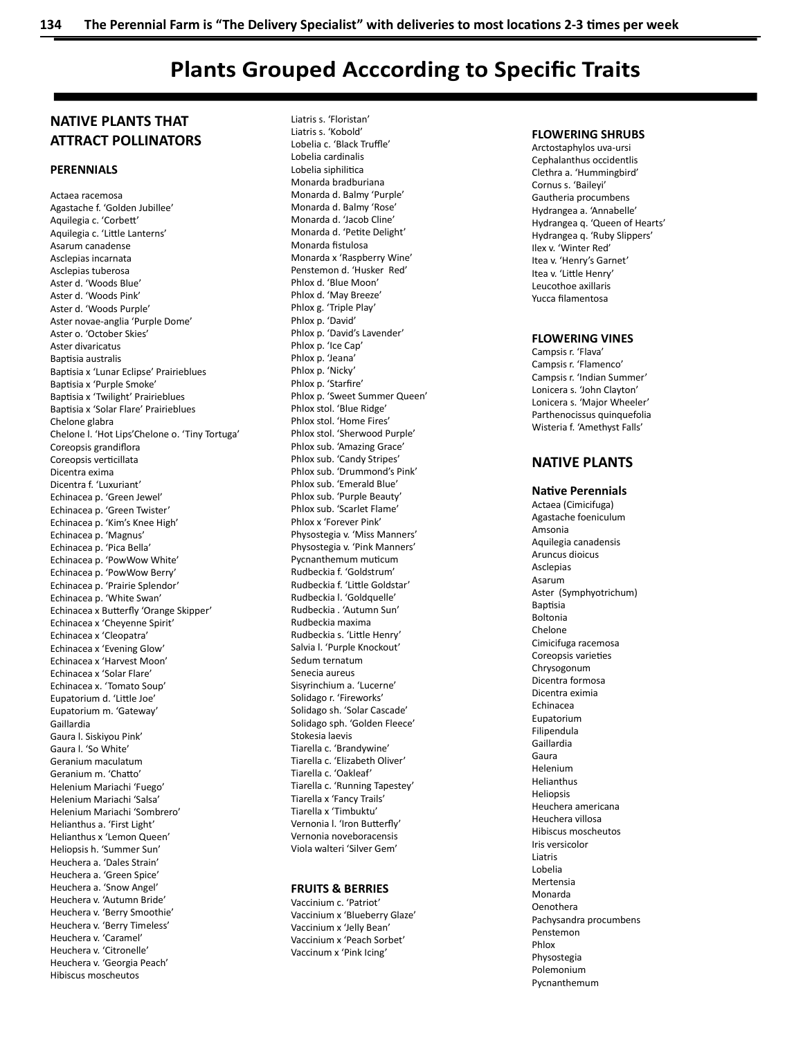# Plants Grouped Acccording to Specific Traits

# NATIVE PLANTS THAT ATTRACT POLLINATORS

### **PERENNIALS**

Actaea racemosa Agastache f. 'Golden Jubillee' Aquilegia c. 'CorbeƩ ' Aquilegia c. 'Little Lanterns' Asarum canadense Asclepias incarnata Asclepias tuberosa Aster d. 'Woods Blue' Aster d. 'Woods Pink' Aster d. 'Woods Purple' Aster novae-anglia 'Purple Dome' Aster o. 'October Skies' Aster divaricatus Baptisia australis Baptisia x 'Lunar Eclipse' Prairieblues Baptisia x 'Purple Smoke' Baptisia x 'Twilight' Prairieblues Baptisia x 'Solar Flare' Prairieblues Chelone glabra Chelone l. 'Hot Lips'Chelone o. 'Tiny Tortuga' Coreopsis grandiflora Coreopsis verticillata Dicentra exima Dicentra f. 'Luxuriant' Echinacea p. 'Green Jewel' Echinacea p. 'Green Twister' Echinacea p. 'Kim's Knee High' Echinacea p. 'Magnus' Echinacea p. 'Pica Bella' Echinacea p. 'PowWow White' Echinacea p. 'PowWow Berry' Echinacea p. 'Prairie Splendor' Echinacea p. 'White Swan' Echinacea x Butterfly 'Orange Skipper' Echinacea x 'Cheyenne Spirit' Echinacea x 'Cleopatra' Echinacea x 'Evening Glow' Echinacea x 'Harvest Moon' Echinacea x 'Solar Flare' Echinacea x. 'Tomato Soup' Eupatorium d. 'Little Joe' Eupatorium m. 'Gateway' Gaillardia Gaura l. Siskiyou Pink' Gaura l. 'So White' Geranium maculatum Geranium m. 'Chatto' Helenium Mariachi 'Fuego' Helenium Mariachi 'Salsa' Helenium Mariachi 'Sombrero' Helianthus a. 'First Light' Helianthus x 'Lemon Queen' Heliopsis h. 'Summer Sun' Heuchera a. 'Dales Strain' Heuchera a. 'Green Spice' Heuchera a. 'Snow Angel' Heuchera v. 'Autumn Bride' Heuchera v. 'Berry Smoothie' Heuchera v. 'Berry Timeless' Heuchera v. 'Caramel' Heuchera v. 'Citronelle' Heuchera v. 'Georgia Peach' Hibiscus moscheutos

Liatris s. 'Floristan' Liatris s. 'Kobold' Lobelia c. 'Black Truffle' Lobelia cardinalis Lobelia siphilitica Monarda bradburiana Monarda d. Balmy 'Purple' Monarda d. Balmy 'Rose' Monarda d. 'Jacob Cline' Monarda d. 'Petite Delight' Monarda fistulosa Monarda x 'Raspberry Wine' Penstemon d. 'Husker Red' Phlox d. 'Blue Moon' Phlox d. 'May Breeze' Phlox g. 'Triple Play' Phlox p. 'David' Phlox p. 'David's Lavender' Phlox p. 'Ice Cap' Phlox p. 'Jeana' Phlox p. 'Nicky' Phlox p. 'Starfire' Phlox p. 'Sweet Summer Queen' Phlox stol. 'Blue Ridge' Phlox stol. 'Home Fires' Phlox stol. 'Sherwood Purple' Phlox sub. 'Amazing Grace' Phlox sub. 'Candy Stripes' Phlox sub. 'Drummond's Pink' Phlox sub. 'Emerald Blue' Phlox sub. 'Purple Beauty' Phlox sub. 'Scarlet Flame' Phlox x 'Forever Pink' Physostegia v. 'Miss Manners' Physostegia v. 'Pink Manners' Pycnanthemum muticum Rudbeckia f. 'Goldstrum' Rudbeckia f. 'Little Goldstar' Rudbeckia l. 'Goldquelle' Rudbeckia . 'Autumn Sun' Rudbeckia maxima Rudbeckia s. 'Little Henry' Salvia l. 'Purple Knockout' Sedum ternatum Senecia aureus Sisyrinchium a. 'Lucerne' Solidago r. 'Fireworks' Solidago sh. 'Solar Cascade' Solidago sph. 'Golden Fleece' Stokesia laevis Tiarella c. 'Brandywine' Tiarella c. 'Elizabeth Oliver' Tiarella c. 'Oakleaf' Tiarella c. 'Running Tapestey' Tiarella x 'Fancy Trails' Tiarella x 'Timbuktu' Vernonia I. 'Iron Butterfly' Vernonia noveboracensis Viola walteri 'Silver Gem'

### FRUITS & BERRIES

Vaccinium c. 'Patriot' Vaccinium x 'Blueberry Glaze' Vaccinium x 'Jelly Bean' Vaccinium x 'Peach Sorbet' Vaccinum x 'Pink Icing'

### FLOWERING SHRUBS

Arctostaphylos uva-ursi Cephalanthus occidentlis Clethra a. 'Hummingbird' Cornus s. 'Baileyi' Gautheria procumbens Hydrangea a. 'Annabelle' Hydrangea q. 'Queen of Hearts' Hydrangea q. 'Ruby Slippers' Ilex v. 'Winter Red' Itea v. 'Henry's Garnet' Itea v. 'Little Henry' Leucothoe axillaris Yucca filamentosa

### FLOWERING VINES

Campsis r. 'Flava' Campsis r. 'Flamenco' Campsis r. 'Indian Summer' Lonicera s. 'John Clayton' Lonicera s. 'Major Wheeler' Parthenocissus quinquefolia Wisteria f. 'Amethyst Falls'

# NATIVE PLANTS

**Native Perennials** Actaea (Cimicifuga) Agastache foeniculum Amsonia Aquilegia canadensis Aruncus dioicus Asclepias Asarum Aster (Symphyotrichum) **Baptisia** Boltonia Chelone Cimicifuga racemosa Coreopsis varieties Chrysogonum Dicentra formosa Dicentra eximia Echinacea Eupatorium Filipendula Gaillardia Gaura Helenium Helianthus **Helionsis** Heuchera americana Heuchera villosa Hibiscus moscheutos Iris versicolor Liatris Lobelia Mertensia Monarda Oenothera Pachysandra procumbens Penstemon Phlox Physostegia Polemonium Pycnanthemum